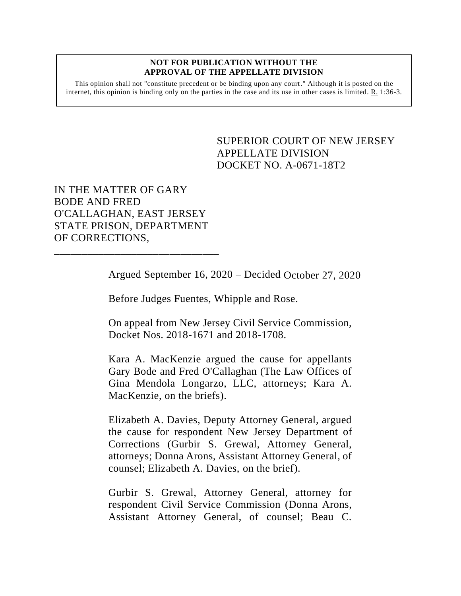## **NOT FOR PUBLICATION WITHOUT THE APPROVAL OF THE APPELLATE DIVISION**

This opinion shall not "constitute precedent or be binding upon any court." Although it is posted on the internet, this opinion is binding only on the parties in the case and its use in other cases is limited.  $R_1$  1:36-3.

> <span id="page-0-0"></span>SUPERIOR COURT OF NEW JERSEY APPELLATE DIVISION DOCKET NO. A-0671-18T2

IN THE MATTER OF GARY BODE AND FRED O'CALLAGHAN, EAST JERSEY STATE PRISON, DEPARTMENT OF CORRECTIONS,

\_\_\_\_\_\_\_\_\_\_\_\_\_\_\_\_\_\_\_\_\_\_\_\_\_\_\_\_\_\_

Argued September 16, 2020 – Decided October 27, 2020

Before Judges Fuentes, Whipple and Rose.

On appeal from New Jersey Civil Service Commission, Docket Nos. 2018-1671 and 2018-1708.

Kara A. MacKenzie argued the cause for appellants Gary Bode and Fred O'Callaghan (The Law Offices of Gina Mendola Longarzo, LLC, attorneys; Kara A. MacKenzie, on the briefs).

Elizabeth A. Davies, Deputy Attorney General, argued the cause for respondent New Jersey Department of Corrections (Gurbir S. Grewal, Attorney General, attorneys; Donna Arons, Assistant Attorney General, of counsel; Elizabeth A. Davies, on the brief).

Gurbir S. Grewal, Attorney General, attorney for respondent Civil Service Commission (Donna Arons, Assistant Attorney General, of counsel; Beau C.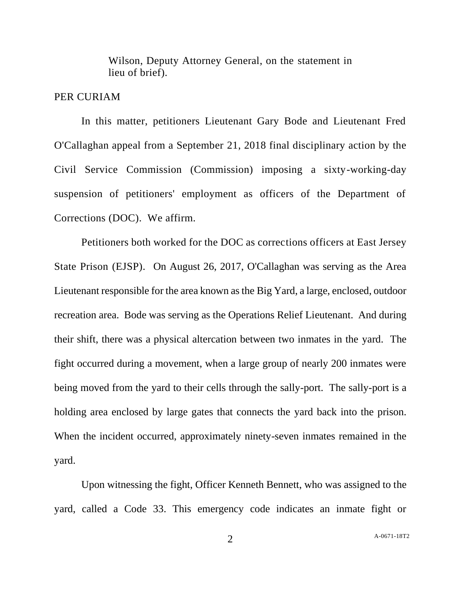Wilson, Deputy Attorney General, on the statement in lieu of brief).

## PER CURIAM

In this matter, petitioners Lieutenant Gary Bode and Lieutenant Fred O'Callaghan appeal from a September 21, 2018 final disciplinary action by the Civil Service Commission (Commission) imposing a sixty-working-day suspension of petitioners' employment as officers of the Department of Corrections (DOC). We affirm.

Petitioners both worked for the DOC as corrections officers at East Jersey State Prison (EJSP). On August 26, 2017, O'Callaghan was serving as the Area Lieutenant responsible for the area known as the Big Yard, a large, enclosed, outdoor recreation area. Bode was serving as the Operations Relief Lieutenant. And during their shift, there was a physical altercation between two inmates in the yard. The fight occurred during a movement, when a large group of nearly 200 inmates were being moved from the yard to their cells through the sally-port. The sally-port is a holding area enclosed by large gates that connects the yard back into the prison. When the incident occurred, approximately ninety-seven inmates remained in the yard.

Upon witnessing the fight, Officer Kenneth Bennett, who was assigned to the yard, called a Code 33. This emergency code indicates an inmate fight or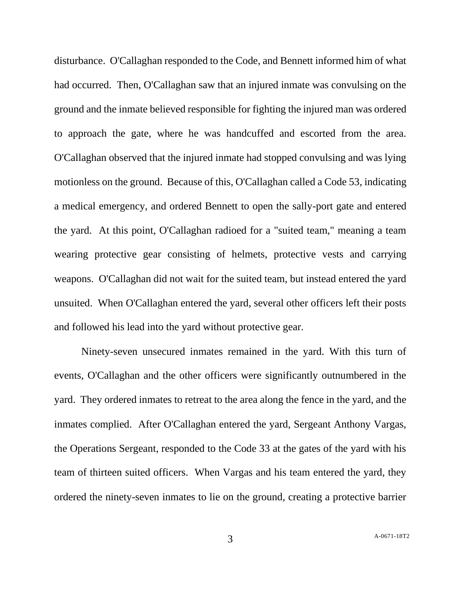disturbance. O'Callaghan responded to the Code, and Bennett informed him of what had occurred. Then, O'Callaghan saw that an injured inmate was convulsing on the ground and the inmate believed responsible for fighting the injured man was ordered to approach the gate, where he was handcuffed and escorted from the area. O'Callaghan observed that the injured inmate had stopped convulsing and was lying motionless on the ground. Because of this, O'Callaghan called a Code 53, indicating a medical emergency, and ordered Bennett to open the sally-port gate and entered the yard. At this point, O'Callaghan radioed for a "suited team," meaning a team wearing protective gear consisting of helmets, protective vests and carrying weapons. O'Callaghan did not wait for the suited team, but instead entered the yard unsuited. When O'Callaghan entered the yard, several other officers left their posts and followed his lead into the yard without protective gear.

Ninety-seven unsecured inmates remained in the yard. With this turn of events, O'Callaghan and the other officers were significantly outnumbered in the yard. They ordered inmates to retreat to the area along the fence in the yard, and the inmates complied. After O'Callaghan entered the yard, Sergeant Anthony Vargas, the Operations Sergeant, responded to the Code 33 at the gates of the yard with his team of thirteen suited officers. When Vargas and his team entered the yard, they ordered the ninety-seven inmates to lie on the ground, creating a protective barrier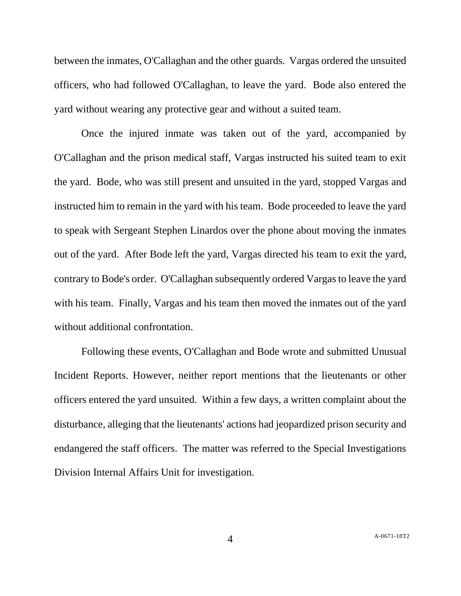between the inmates, O'Callaghan and the other guards. Vargas ordered the unsuited officers, who had followed O'Callaghan, to leave the yard. Bode also entered the yard without wearing any protective gear and without a suited team.

Once the injured inmate was taken out of the yard, accompanied by O'Callaghan and the prison medical staff, Vargas instructed his suited team to exit the yard. Bode, who was still present and unsuited in the yard, stopped Vargas and instructed him to remain in the yard with his team. Bode proceeded to leave the yard to speak with Sergeant Stephen Linardos over the phone about moving the inmates out of the yard. After Bode left the yard, Vargas directed his team to exit the yard, contrary to Bode's order. O'Callaghan subsequently ordered Vargas to leave the yard with his team. Finally, Vargas and his team then moved the inmates out of the yard without additional confrontation.

Following these events, O'Callaghan and Bode wrote and submitted Unusual Incident Reports. However, neither report mentions that the lieutenants or other officers entered the yard unsuited. Within a few days, a written complaint about the disturbance, alleging that the lieutenants' actions had jeopardized prison security and endangered the staff officers. The matter was referred to the Special Investigations Division Internal Affairs Unit for investigation.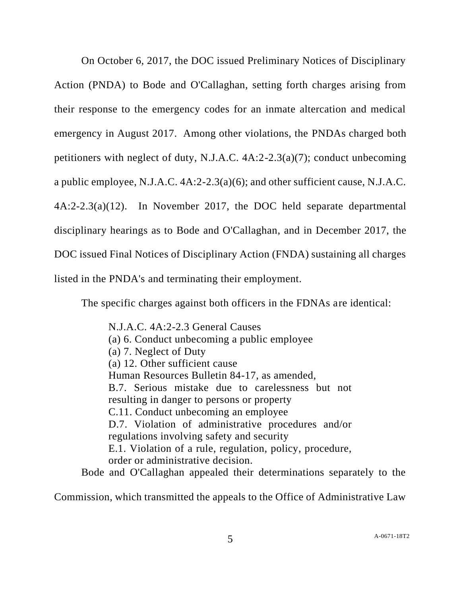On October 6, 2017, the DOC issued Preliminary Notices of Disciplinary Action (PNDA) to Bode and O'Callaghan, setting forth charges arising from their response to the emergency codes for an inmate altercation and medical emergency in August 2017. Among other violations, the PNDAs charged both petitioners with neglect of duty, N.J.A.C. 4A:2-2.3(a)(7); conduct unbecoming a public employee, N.J.A.C. 4A:2-2.3(a)(6); and other sufficient cause, N.J.A.C. 4A:2-2.3(a)(12). In November 2017, the DOC held separate departmental disciplinary hearings as to Bode and O'Callaghan, and in December 2017, the DOC issued Final Notices of Disciplinary Action (FNDA) sustaining all charges listed in the PNDA's and terminating their employment.

The specific charges against both officers in the FDNAs are identical:

N.J.A.C. 4A:2-2.3 General Causes (a) 6. Conduct unbecoming a public employee (a) 7. Neglect of Duty (a) 12. Other sufficient cause Human Resources Bulletin 84-17, as amended, B.7. Serious mistake due to carelessness but not resulting in danger to persons or property C.11. Conduct unbecoming an employee D.7. Violation of administrative procedures and/or regulations involving safety and security E.1. Violation of a rule, regulation, policy, procedure, order or administrative decision.

Bode and O'Callaghan appealed their determinations separately to the

Commission, which transmitted the appeals to the Office of Administrative Law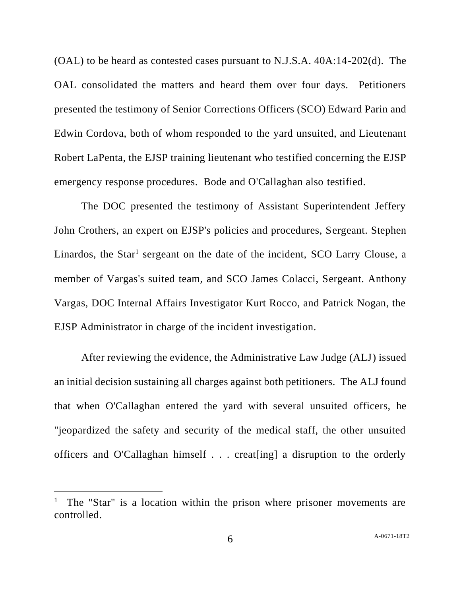(OAL) to be heard as contested cases pursuant to N.J.S.A. 40A:14-202(d). The OAL consolidated the matters and heard them over four days. Petitioners presented the testimony of Senior Corrections Officers (SCO) Edward Parin and Edwin Cordova, both of whom responded to the yard unsuited, and Lieutenant Robert LaPenta, the EJSP training lieutenant who testified concerning the EJSP emergency response procedures. Bode and O'Callaghan also testified.

The DOC presented the testimony of Assistant Superintendent Jeffery John Crothers, an expert on EJSP's policies and procedures, Sergeant. Stephen Linardos, the Star<sup>1</sup> sergeant on the date of the incident, SCO Larry Clouse, a member of Vargas's suited team, and SCO James Colacci, Sergeant. Anthony Vargas, DOC Internal Affairs Investigator Kurt Rocco, and Patrick Nogan, the EJSP Administrator in charge of the incident investigation.

After reviewing the evidence, the Administrative Law Judge (ALJ) issued an initial decision sustaining all charges against both petitioners. The ALJ found that when O'Callaghan entered the yard with several unsuited officers, he "jeopardized the safety and security of the medical staff, the other unsuited officers and O'Callaghan himself . . . creat[ing] a disruption to the orderly

<sup>&</sup>lt;sup>1</sup> The "Star" is a location within the prison where prisoner movements are controlled.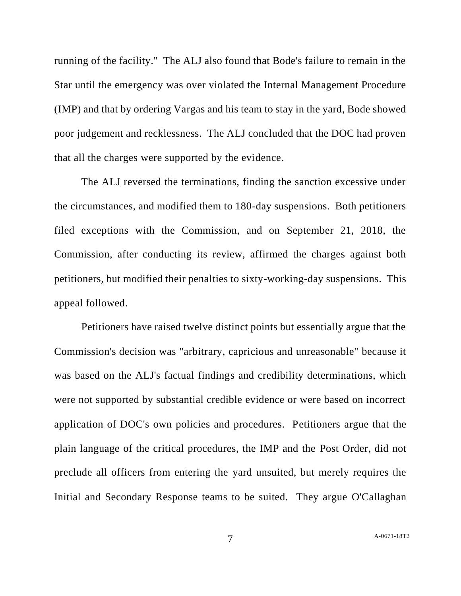running of the facility." The ALJ also found that Bode's failure to remain in the Star until the emergency was over violated the Internal Management Procedure (IMP) and that by ordering Vargas and his team to stay in the yard, Bode showed poor judgement and recklessness. The ALJ concluded that the DOC had proven that all the charges were supported by the evidence.

The ALJ reversed the terminations, finding the sanction excessive under the circumstances, and modified them to 180-day suspensions. Both petitioners filed exceptions with the Commission, and on September 21, 2018, the Commission, after conducting its review, affirmed the charges against both petitioners, but modified their penalties to sixty-working-day suspensions. This appeal followed.

Petitioners have raised twelve distinct points but essentially argue that the Commission's decision was "arbitrary, capricious and unreasonable" because it was based on the ALJ's factual findings and credibility determinations, which were not supported by substantial credible evidence or were based on incorrect application of DOC's own policies and procedures. Petitioners argue that the plain language of the critical procedures, the IMP and the Post Order, did not preclude all officers from entering the yard unsuited, but merely requires the Initial and Secondary Response teams to be suited. They argue O'Callaghan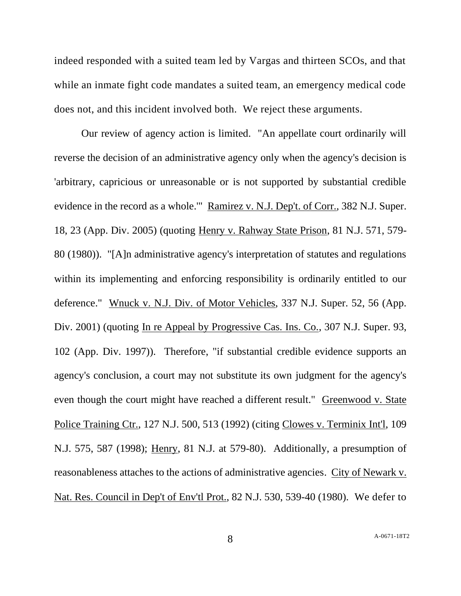indeed responded with a suited team led by Vargas and thirteen SCOs, and that while an inmate fight code mandates a suited team, an emergency medical code does not, and this incident involved both. We reject these arguments.

Our review of agency action is limited. "An appellate court ordinarily will reverse the decision of an administrative agency only when the agency's decision is 'arbitrary, capricious or unreasonable or is not supported by substantial credible evidence in the record as a whole." Ramirez v. N.J. Dep't. of Corr., 382 N.J. Super. 18, 23 (App. Div. 2005) (quoting Henry v. Rahway State Prison, 81 N.J. 571, 579- 80 (1980)). "[A]n administrative agency's interpretation of statutes and regulations within its implementing and enforcing responsibility is ordinarily entitled to our deference." Wnuck v. N.J. Div. of Motor Vehicles, 337 N.J. Super. 52, 56 (App. Div. 2001) (quoting In re Appeal by Progressive Cas. Ins. Co., 307 N.J. Super. 93, 102 (App. Div. 1997)). Therefore, "if substantial credible evidence supports an agency's conclusion, a court may not substitute its own judgment for the agency's even though the court might have reached a different result." Greenwood v. State Police Training Ctr., 127 N.J. 500, 513 (1992) (citing Clowes v. Terminix Int'l, 109 N.J. 575, 587 (1998); Henry, 81 N.J. at 579-80). Additionally, a presumption of reasonableness attaches to the actions of administrative agencies. City of Newark v. Nat. Res. Council in Dep't of Env'tl Prot., 82 N.J. 530, 539-40 (1980). We defer to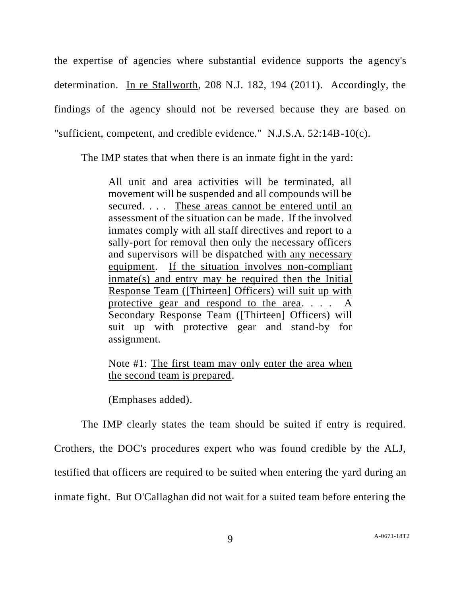the expertise of agencies where substantial evidence supports the agency's determination. In re Stallworth, 208 N.J. 182, 194 (2011). Accordingly, the findings of the agency should not be reversed because they are based on "sufficient, competent, and credible evidence." N.J.S.A. 52:14B-10(c).

The IMP states that when there is an inmate fight in the yard:

All unit and area activities will be terminated, all movement will be suspended and all compounds will be secured. . . . These areas cannot be entered until an assessment of the situation can be made. If the involved inmates comply with all staff directives and report to a sally-port for removal then only the necessary officers and supervisors will be dispatched with any necessary equipment. If the situation involves non-compliant inmate(s) and entry may be required then the Initial Response Team ([Thirteen] Officers) will suit up with protective gear and respond to the area. . . . A Secondary Response Team ([Thirteen] Officers) will suit up with protective gear and stand-by for assignment.

## Note #1: The first team may only enter the area when the second team is prepared.

(Emphases added).

The IMP clearly states the team should be suited if entry is required. Crothers, the DOC's procedures expert who was found credible by the ALJ, testified that officers are required to be suited when entering the yard during an inmate fight. But O'Callaghan did not wait for a suited team before entering the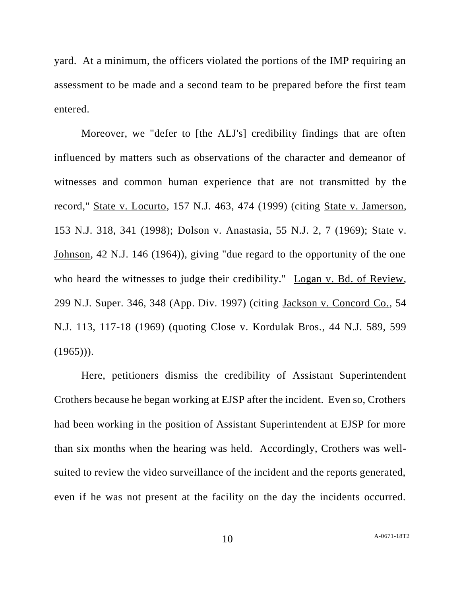yard. At a minimum, the officers violated the portions of the IMP requiring an assessment to be made and a second team to be prepared before the first team entered.

Moreover, we "defer to [the ALJ's] credibility findings that are often influenced by matters such as observations of the character and demeanor of witnesses and common human experience that are not transmitted by the record," State v. Locurto, 157 N.J. 463, 474 (1999) (citing State v. Jamerson, 153 N.J. 318, 341 (1998); Dolson v. Anastasia, 55 N.J. 2, 7 (1969); State v. Johnson, 42 N.J. 146 (1964)), giving "due regard to the opportunity of the one who heard the witnesses to judge their credibility." Logan v. Bd. of Review, 299 N.J. Super. 346, 348 (App. Div. 1997) (citing Jackson v. Concord Co., 54 N.J. 113, 117-18 (1969) (quoting Close v. Kordulak Bros., 44 N.J. 589, 599  $(1965))$ .

Here, petitioners dismiss the credibility of Assistant Superintendent Crothers because he began working at EJSP after the incident. Even so, Crothers had been working in the position of Assistant Superintendent at EJSP for more than six months when the hearing was held. Accordingly, Crothers was wellsuited to review the video surveillance of the incident and the reports generated, even if he was not present at the facility on the day the incidents occurred.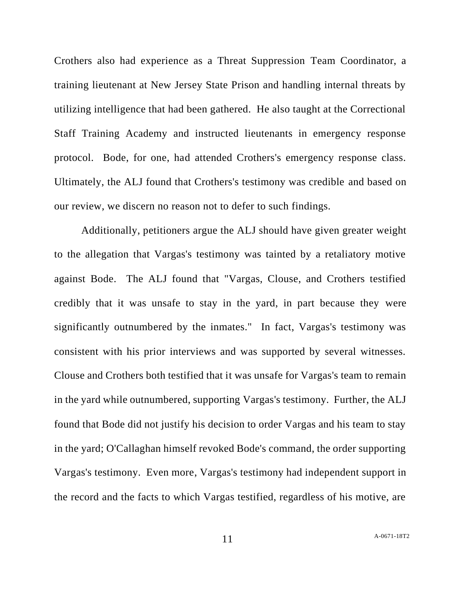Crothers also had experience as a Threat Suppression Team Coordinator, a training lieutenant at New Jersey State Prison and handling internal threats by utilizing intelligence that had been gathered. He also taught at the Correctional Staff Training Academy and instructed lieutenants in emergency response protocol. Bode, for one, had attended Crothers's emergency response class. Ultimately, the ALJ found that Crothers's testimony was credible and based on our review, we discern no reason not to defer to such findings.

Additionally, petitioners argue the ALJ should have given greater weight to the allegation that Vargas's testimony was tainted by a retaliatory motive against Bode. The ALJ found that "Vargas, Clouse, and Crothers testified credibly that it was unsafe to stay in the yard, in part because they were significantly outnumbered by the inmates." In fact, Vargas's testimony was consistent with his prior interviews and was supported by several witnesses. Clouse and Crothers both testified that it was unsafe for Vargas's team to remain in the yard while outnumbered, supporting Vargas's testimony. Further, the ALJ found that Bode did not justify his decision to order Vargas and his team to stay in the yard; O'Callaghan himself revoked Bode's command, the order supporting Vargas's testimony. Even more, Vargas's testimony had independent support in the record and the facts to which Vargas testified, regardless of his motive, are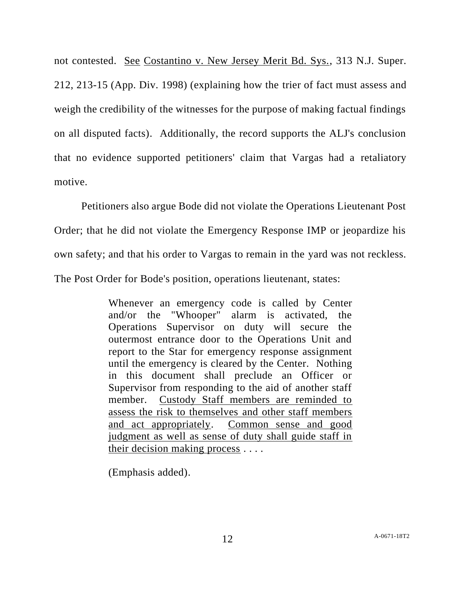not contested. See Costantino v. New Jersey Merit Bd. Sys., 313 N.J. Super. 212, 213-15 (App. Div. 1998) (explaining how the trier of fact must assess and weigh the credibility of the witnesses for the purpose of making factual findings on all disputed facts). Additionally, the record supports the ALJ's conclusion that no evidence supported petitioners' claim that Vargas had a retaliatory motive.

Petitioners also argue Bode did not violate the Operations Lieutenant Post Order; that he did not violate the Emergency Response IMP or jeopardize his own safety; and that his order to Vargas to remain in the yard was not reckless. The Post Order for Bode's position, operations lieutenant, states:

> Whenever an emergency code is called by Center and/or the "Whooper" alarm is activated, the Operations Supervisor on duty will secure the outermost entrance door to the Operations Unit and report to the Star for emergency response assignment until the emergency is cleared by the Center. Nothing in this document shall preclude an Officer or Supervisor from responding to the aid of another staff member. Custody Staff members are reminded to assess the risk to themselves and other staff members and act appropriately. Common sense and good judgment as well as sense of duty shall guide staff in their decision making process . . . .

(Emphasis added).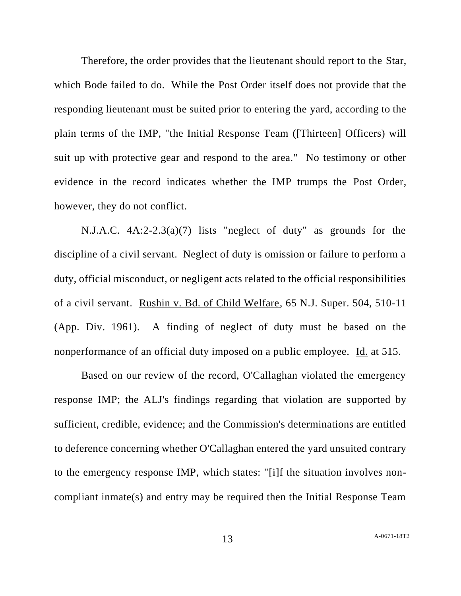Therefore, the order provides that the lieutenant should report to the Star, which Bode failed to do. While the Post Order itself does not provide that the responding lieutenant must be suited prior to entering the yard, according to the plain terms of the IMP, "the Initial Response Team ([Thirteen] Officers) will suit up with protective gear and respond to the area." No testimony or other evidence in the record indicates whether the IMP trumps the Post Order, however, they do not conflict.

N.J.A.C. 4A:2-2.3(a)(7) lists "neglect of duty" as grounds for the discipline of a civil servant. Neglect of duty is omission or failure to perform a duty, official misconduct, or negligent acts related to the official responsibilities of a civil servant. Rushin v. Bd. of Child Welfare, 65 N.J. Super. 504, 510-11 (App. Div. 1961). A finding of neglect of duty must be based on the nonperformance of an official duty imposed on a public employee. Id. at 515.

Based on our review of the record, O'Callaghan violated the emergency response IMP; the ALJ's findings regarding that violation are supported by sufficient, credible, evidence; and the Commission's determinations are entitled to deference concerning whether O'Callaghan entered the yard unsuited contrary to the emergency response IMP, which states: "[i]f the situation involves noncompliant inmate(s) and entry may be required then the Initial Response Team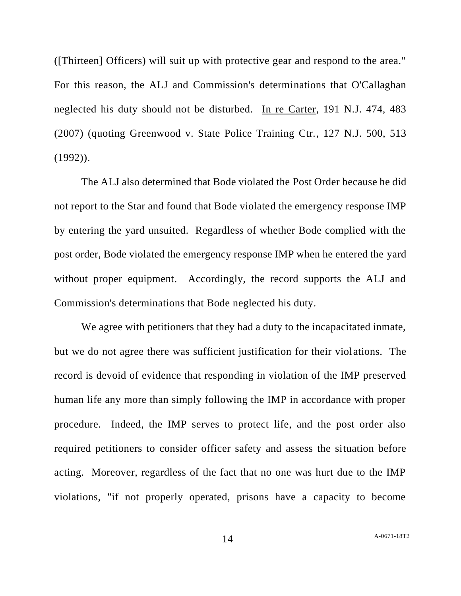([Thirteen] Officers) will suit up with protective gear and respond to the area." For this reason, the ALJ and Commission's determinations that O'Callaghan neglected his duty should not be disturbed. In re Carter, 191 N.J. 474, 483 (2007) (quoting Greenwood v. State Police Training Ctr., 127 N.J. 500, 513  $(1992)$ .

The ALJ also determined that Bode violated the Post Order because he did not report to the Star and found that Bode violated the emergency response IMP by entering the yard unsuited. Regardless of whether Bode complied with the post order, Bode violated the emergency response IMP when he entered the yard without proper equipment. Accordingly, the record supports the ALJ and Commission's determinations that Bode neglected his duty.

We agree with petitioners that they had a duty to the incapacitated inmate, but we do not agree there was sufficient justification for their violations. The record is devoid of evidence that responding in violation of the IMP preserved human life any more than simply following the IMP in accordance with proper procedure. Indeed, the IMP serves to protect life, and the post order also required petitioners to consider officer safety and assess the situation before acting. Moreover, regardless of the fact that no one was hurt due to the IMP violations, "if not properly operated, prisons have a capacity to become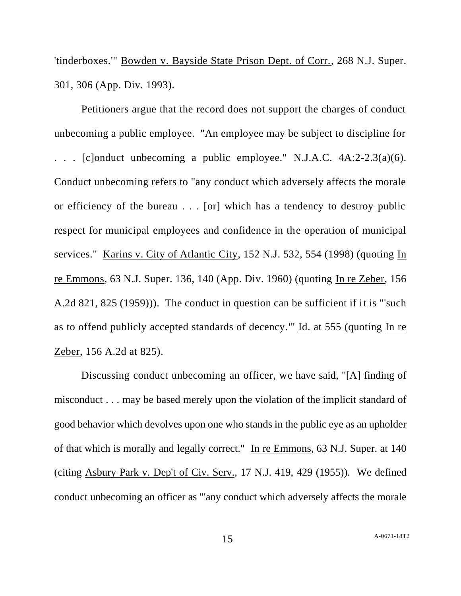'tinderboxes.'" Bowden v. Bayside State Prison Dept. of Corr., 268 N.J. Super. 301, 306 (App. Div. 1993).

Petitioners argue that the record does not support the charges of conduct unbecoming a public employee. "An employee may be subject to discipline for . . . [c]onduct unbecoming a public employee." N.J.A.C. 4A:2-2.3(a)(6). Conduct unbecoming refers to "any conduct which adversely affects the morale or efficiency of the bureau . . . [or] which has a tendency to destroy public respect for municipal employees and confidence in the operation of municipal services." Karins v. City of Atlantic City, 152 N.J. 532, 554 (1998) (quoting In re Emmons, 63 N.J. Super. 136, 140 (App. Div. 1960) (quoting In re Zeber, 156 A.2d 821, 825 (1959))). The conduct in question can be sufficient if it is "'such as to offend publicly accepted standards of decency.'" Id. at 555 (quoting In re Zeber, 156 A.2d at 825).

Discussing conduct unbecoming an officer, we have said, "[A] finding of misconduct . . . may be based merely upon the violation of the implicit standard of good behavior which devolves upon one who stands in the public eye as an upholder of that which is morally and legally correct." In re Emmons, 63 N.J. Super. at 140 (citing Asbury Park v. Dep't of Civ. Serv., 17 N.J. 419, 429 (1955)). We defined conduct unbecoming an officer as "'any conduct which adversely affects the morale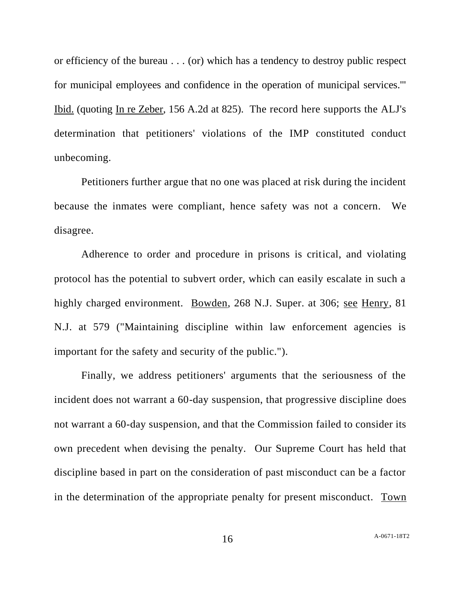or efficiency of the bureau . . . (or) which has a tendency to destroy public respect for municipal employees and confidence in the operation of municipal services.'" Ibid. (quoting In re Zeber, 156 A.2d at 825). The record here supports the ALJ's determination that petitioners' violations of the IMP constituted conduct unbecoming.

Petitioners further argue that no one was placed at risk during the incident because the inmates were compliant, hence safety was not a concern. We disagree.

Adherence to order and procedure in prisons is critical, and violating protocol has the potential to subvert order, which can easily escalate in such a highly charged environment. Bowden, 268 N.J. Super. at 306; see Henry, 81 N.J. at 579 ("Maintaining discipline within law enforcement agencies is important for the safety and security of the public.").

Finally, we address petitioners' arguments that the seriousness of the incident does not warrant a 60-day suspension, that progressive discipline does not warrant a 60-day suspension, and that the Commission failed to consider its own precedent when devising the penalty. Our Supreme Court has held that discipline based in part on the consideration of past misconduct can be a factor in the determination of the appropriate penalty for present misconduct. Town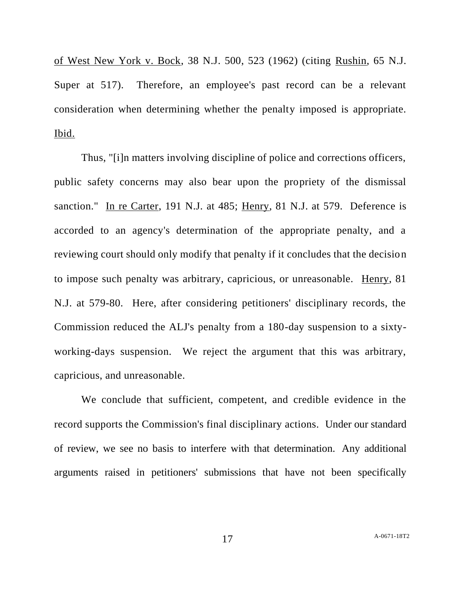of West New York v. Bock, 38 N.J. 500, 523 (1962) (citing Rushin, 65 N.J. Super at 517). Therefore, an employee's past record can be a relevant consideration when determining whether the penalty imposed is appropriate. Ibid.

Thus, "[i]n matters involving discipline of police and corrections officers, public safety concerns may also bear upon the propriety of the dismissal sanction." In re Carter, 191 N.J. at 485; Henry, 81 N.J. at 579. Deference is accorded to an agency's determination of the appropriate penalty, and a reviewing court should only modify that penalty if it concludes that the decision to impose such penalty was arbitrary, capricious, or unreasonable. Henry, 81 N.J. at 579-80. Here, after considering petitioners' disciplinary records, the Commission reduced the ALJ's penalty from a 180-day suspension to a sixtyworking-days suspension. We reject the argument that this was arbitrary, capricious, and unreasonable.

We conclude that sufficient, competent, and credible evidence in the record supports the Commission's final disciplinary actions. Under our standard of review, we see no basis to interfere with that determination. Any additional arguments raised in petitioners' submissions that have not been specifically